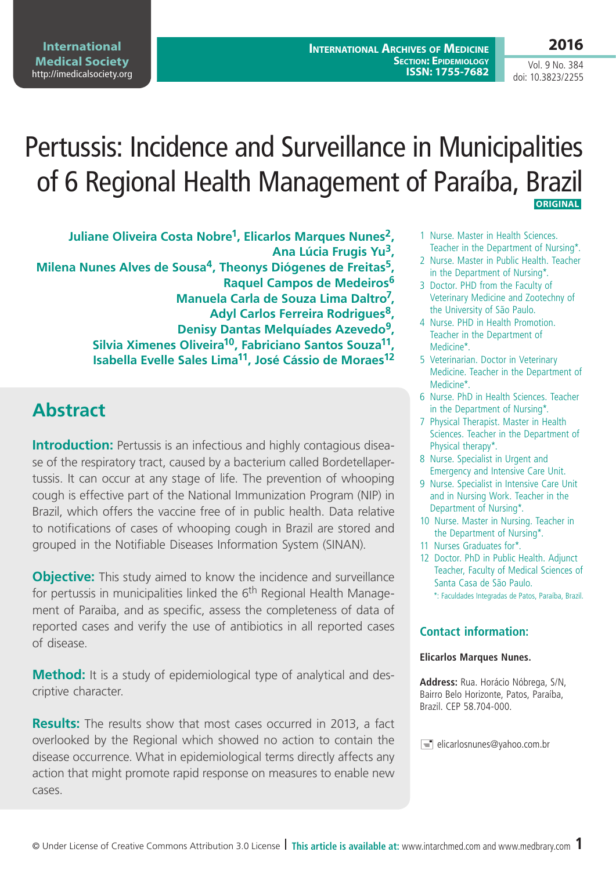Vol. 9 No. 384 doi: 10.3823/2255

**2016**

# Pertussis: Incidence and Surveillance in Municipalities of 6 Regional Health Management of Paraíba, Brazil  **ORIGINAL**

**Juliane Oliveira Costa Nobre1, Elicarlos Marques Nunes2, Ana Lúcia Frugis Yu3, Milena Nunes Alves de Sousa4, Theonys Diógenes de Freitas5, Raquel Campos de Medeiros<sup>6</sup> Manuela Carla de Souza Lima Daltro7, Adyl Carlos Ferreira Rodrigues8, Denisy Dantas Melquíades Azevedo9, Silvia Ximenes Oliveira10, Fabriciano Santos Souza11, Isabella Evelle Sales Lima11, José Cássio de Moraes12**

## **Abstract**

**Introduction:** Pertussis is an infectious and highly contagious disease of the respiratory tract, caused by a bacterium called Bordetellapertussis. It can occur at any stage of life. The prevention of whooping cough is effective part of the National Immunization Program (NIP) in Brazil, which offers the vaccine free of in public health. Data relative to notifications of cases of whooping cough in Brazil are stored and grouped in the Notifiable Diseases Information System (SINAN).

**Objective:** This study aimed to know the incidence and surveillance for pertussis in municipalities linked the  $6<sup>th</sup>$  Regional Health Management of Paraiba, and as specific, assess the completeness of data of reported cases and verify the use of antibiotics in all reported cases of disease.

**Method:** It is a study of epidemiological type of analytical and descriptive character.

**Results:** The results show that most cases occurred in 2013, a fact overlooked by the Regional which showed no action to contain the disease occurrence. What in epidemiological terms directly affects any action that might promote rapid response on measures to enable new cases.

- 1 Nurse. Master in Health Sciences. Teacher in the Department of Nursing\*.
- 2 Nurse. Master in Public Health. Teacher in the Department of Nursing\*.
- 3 Doctor. PHD from the Faculty of Veterinary Medicine and Zootechny of the University of São Paulo.
- 4 Nurse. PHD in Health Promotion. Teacher in the Department of Medicine\*.
- 5 Veterinarian. Doctor in Veterinary Medicine. Teacher in the Department of Medicine\*.
- 6 Nurse. PhD in Health Sciences. Teacher in the Department of Nursing\*.
- 7 Physical Therapist. Master in Health Sciences. Teacher in the Department of Physical therapy\*.
- 8 Nurse. Specialist in Urgent and Emergency and Intensive Care Unit.
- 9 Nurse. Specialist in Intensive Care Unit and in Nursing Work. Teacher in the Department of Nursing\*.
- 10 Nurse. Master in Nursing. Teacher in the Department of Nursing\*.
- 11 Nurses Graduates for\*.
- 12 Doctor. PhD in Public Health. Adjunct Teacher, Faculty of Medical Sciences of Santa Casa de São Paulo. \*: Faculdades Integradas de Patos, Paraíba, Brazil.

#### **Contact information:**

#### **Elicarlos Marques Nunes.**

**Address:** Rua. Horácio Nóbrega, S/N, Bairro Belo Horizonte, Patos, Paraíba, Brazil. CEP 58.704-000.

 $\equiv$  elicarlosnunes@yahoo.com.br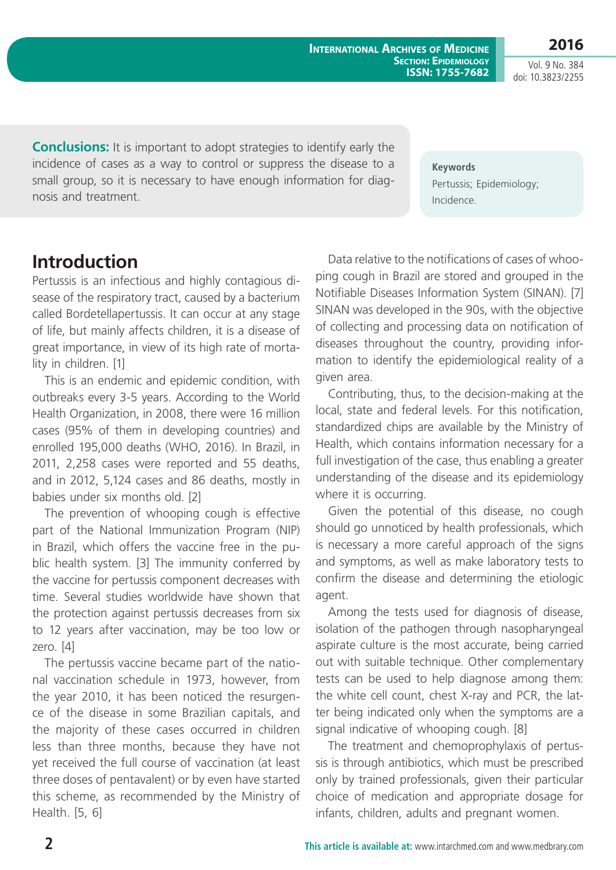**2016** Vol. 9 No. 384

doi: 10.3823/2255

**Conclusions:** It is important to adopt strategies to identify early the incidence of cases as a way to control or suppress the disease to a small group, so it is necessary to have enough information for diagnosis and treatment.

**Keywords** Pertussis; Epidemiology; Incidence.

#### **Introduction**

Pertussis is an infectious and highly contagious disease of the respiratory tract, caused by a bacterium called Bordetellapertussis. It can occur at any stage of life, but mainly affects children, it is a disease of great importance, in view of its high rate of mortality in children. [1]

This is an endemic and epidemic condition, with outbreaks every 3-5 years. According to the World Health Organization, in 2008, there were 16 million cases (95% of them in developing countries) and enrolled 195,000 deaths (WHO, 2016). In Brazil, in 2011, 2,258 cases were reported and 55 deaths, and in 2012, 5,124 cases and 86 deaths, mostly in babies under six months old. [2]

The prevention of whooping cough is effective part of the National Immunization Program (NIP) in Brazil, which offers the vaccine free in the public health system. [3] The immunity conferred by the vaccine for pertussis component decreases with time. Several studies worldwide have shown that the protection against pertussis decreases from six to 12 years after vaccination, may be too low or zero. [4]

The pertussis vaccine became part of the national vaccination schedule in 1973, however, from the year 2010, it has been noticed the resurgence of the disease in some Brazilian capitals, and the majority of these cases occurred in children less than three months, because they have not yet received the full course of vaccination (at least three doses of pentavalent) or by even have started this scheme, as recommended by the Ministry of Health. [5, 6]

Data relative to the notifications of cases of whooping cough in Brazil are stored and grouped in the Notifiable Diseases Information System (SINAN). [7] SINAN was developed in the 90s, with the objective of collecting and processing data on notification of diseases throughout the country, providing information to identify the epidemiological reality of a given area.

Contributing, thus, to the decision-making at the local, state and federal levels. For this notification, standardized chips are available by the Ministry of Health, which contains information necessary for a full investigation of the case, thus enabling a greater understanding of the disease and its epidemiology where it is occurring.

Given the potential of this disease, no cough should go unnoticed by health professionals, which is necessary a more careful approach of the signs and symptoms, as well as make laboratory tests to confirm the disease and determining the etiologic agent.

Among the tests used for diagnosis of disease, isolation of the pathogen through nasopharyngeal aspirate culture is the most accurate, being carried out with suitable technique. Other complementary tests can be used to help diagnose among them: the white cell count, chest X-ray and PCR, the latter being indicated only when the symptoms are a signal indicative of whooping cough. [8]

The treatment and chemoprophylaxis of pertussis is through antibiotics, which must be prescribed only by trained professionals, given their particular choice of medication and appropriate dosage for infants, children, adults and pregnant women.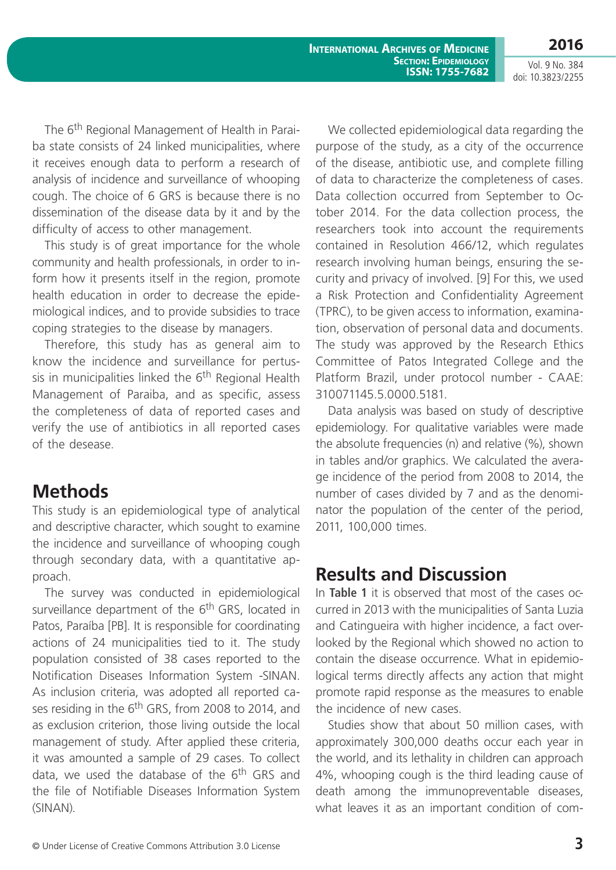**2016** Vol. 9 No. 384

doi: 10.3823/2255

The 6<sup>th</sup> Regional Management of Health in Paraiba state consists of 24 linked municipalities, where it receives enough data to perform a research of analysis of incidence and surveillance of whooping cough. The choice of 6 GRS is because there is no dissemination of the disease data by it and by the difficulty of access to other management.

This study is of great importance for the whole community and health professionals, in order to inform how it presents itself in the region, promote health education in order to decrease the epidemiological indices, and to provide subsidies to trace coping strategies to the disease by managers.

Therefore, this study has as general aim to know the incidence and surveillance for pertussis in municipalities linked the  $6<sup>th</sup>$  Regional Health Management of Paraiba, and as specific, assess the completeness of data of reported cases and verify the use of antibiotics in all reported cases of the desease.

#### **Methods**

This study is an epidemiological type of analytical and descriptive character, which sought to examine the incidence and surveillance of whooping cough through secondary data, with a quantitative approach.

The survey was conducted in epidemiological surveillance department of the 6<sup>th</sup> GRS, located in Patos, Paraíba [PB]. It is responsible for coordinating actions of 24 municipalities tied to it. The study population consisted of 38 cases reported to the Notification Diseases Information System -SINAN. As inclusion criteria, was adopted all reported cases residing in the 6<sup>th</sup> GRS, from 2008 to 2014, and as exclusion criterion, those living outside the local management of study. After applied these criteria, it was amounted a sample of 29 cases. To collect data, we used the database of the 6<sup>th</sup> GRS and the file of Notifiable Diseases Information System (SINAN).

We collected epidemiological data regarding the purpose of the study, as a city of the occurrence of the disease, antibiotic use, and complete filling of data to characterize the completeness of cases. Data collection occurred from September to October 2014. For the data collection process, the researchers took into account the requirements contained in Resolution 466/12, which regulates research involving human beings, ensuring the security and privacy of involved. [9] For this, we used a Risk Protection and Confidentiality Agreement (TPRC), to be given access to information, examination, observation of personal data and documents. The study was approved by the Research Ethics Committee of Patos Integrated College and the Platform Brazil, under protocol number - CAAE: 310071145.5.0000.5181.

Data analysis was based on study of descriptive epidemiology. For qualitative variables were made the absolute frequencies (n) and relative (%), shown in tables and/or graphics. We calculated the average incidence of the period from 2008 to 2014, the number of cases divided by 7 and as the denominator the population of the center of the period, 2011, 100,000 times.

## **Results and Discussion**

In **Table 1** it is observed that most of the cases occurred in 2013 with the municipalities of Santa Luzia and Catingueira with higher incidence, a fact overlooked by the Regional which showed no action to contain the disease occurrence. What in epidemiological terms directly affects any action that might promote rapid response as the measures to enable the incidence of new cases.

Studies show that about 50 million cases, with approximately 300,000 deaths occur each year in the world, and its lethality in children can approach 4%, whooping cough is the third leading cause of death among the immunopreventable diseases, what leaves it as an important condition of com-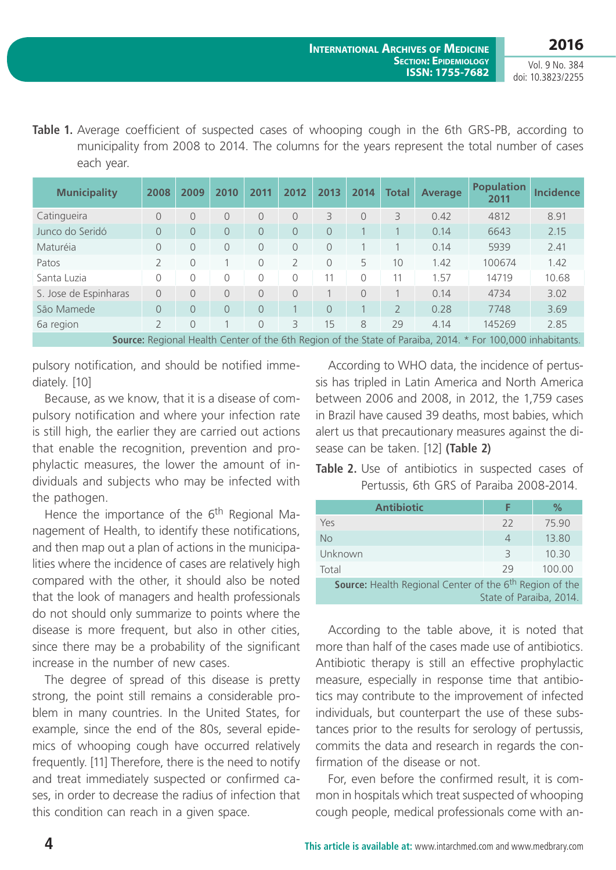Table 1. Average coefficient of suspected cases of whooping cough in the 6th GRS-PB, according to municipality from 2008 to 2014. The columns for the years represent the total number of cases each year.

| <b>Municipality</b>                                                                                               | 2008 | 2009       | 2010           | 2011       | 2012          | 2013           | 2014      | <b>Total</b>             | <b>Average</b> | <b>Population</b><br>2011 | <b>Incidence</b> |
|-------------------------------------------------------------------------------------------------------------------|------|------------|----------------|------------|---------------|----------------|-----------|--------------------------|----------------|---------------------------|------------------|
| Catingueira                                                                                                       | 0    | $\Omega$   | 0              | 0          | 0             | 3              | $\bigcap$ | 3                        | 0.42           | 4812                      | 8.91             |
| Junco do Seridó                                                                                                   | 0    | $\Omega$   | 0              | $\Omega$   | $\Omega$      | $\Omega$       |           |                          | 0.14           | 6643                      | 2.15             |
| Maturéia                                                                                                          | 0    | $\bigcirc$ | 0              | $\Omega$   | $\Omega$      | $\Omega$       |           |                          | 0.14           | 5939                      | 2.41             |
| Patos                                                                                                             |      | $\bigcirc$ |                | $\bigcirc$ | $\mathcal{P}$ | $\Omega$       | 5.        | 10                       | 1.42           | 100674                    | 1.42             |
| Santa Luzia                                                                                                       | 0    | 0          | 0              | 0          | 0             | 11             | $\bigcap$ | 11                       | 1.57           | 14719                     | 10.68            |
| S. Jose de Espinharas                                                                                             | 0    | $\Omega$   | $\Omega$       | $\Omega$   | $\bigcap$     |                | $\bigcap$ |                          | 0.14           | 4734                      | 3.02             |
| São Mamede                                                                                                        | 0    | $\Omega$   | $\overline{O}$ | 0          |               | $\overline{0}$ |           | $\overline{\phantom{0}}$ | 0.28           | 7748                      | 3.69             |
| 6a region                                                                                                         | 2    | $\Omega$   |                | $\Omega$   | 3             | 15             | 8         | 29                       | 4.14           | 145269                    | 2.85             |
| <b>Source:</b> Regional Health Center of the 6th Region of the State of Paraiba, 2014. * For 100,000 inhabitants. |      |            |                |            |               |                |           |                          |                |                           |                  |

pulsory notification, and should be notified immediately. [10]

Because, as we know, that it is a disease of compulsory notification and where your infection rate is still high, the earlier they are carried out actions that enable the recognition, prevention and prophylactic measures, the lower the amount of individuals and subjects who may be infected with the pathogen.

Hence the importance of the  $6<sup>th</sup>$  Regional Management of Health, to identify these notifications, and then map out a plan of actions in the municipalities where the incidence of cases are relatively high compared with the other, it should also be noted that the look of managers and health professionals do not should only summarize to points where the disease is more frequent, but also in other cities, since there may be a probability of the significant increase in the number of new cases.

The degree of spread of this disease is pretty strong, the point still remains a considerable problem in many countries. In the United States, for example, since the end of the 80s, several epidemics of whooping cough have occurred relatively frequently. [11] Therefore, there is the need to notify and treat immediately suspected or confirmed cases, in order to decrease the radius of infection that this condition can reach in a given space.

According to WHO data, the incidence of pertussis has tripled in Latin America and North America between 2006 and 2008, in 2012, the 1,759 cases in Brazil have caused 39 deaths, most babies, which alert us that precautionary measures against the disease can be taken. [12] **(Table 2)**

**Table 2.** Use of antibiotics in suspected cases of Pertussis, 6th GRS of Paraiba 2008-2014.

| <b>Antibiotic</b>                                                                              | F             | $\%$   |  |  |  |
|------------------------------------------------------------------------------------------------|---------------|--------|--|--|--|
| Yes                                                                                            | 22            | 75.90  |  |  |  |
| <b>No</b>                                                                                      | 4             | 13.80  |  |  |  |
| Unknown                                                                                        | $\mathcal{R}$ | 10.30  |  |  |  |
| Total                                                                                          | 29            | 100.00 |  |  |  |
| Source: Health Regional Center of the 6 <sup>th</sup> Region of the<br>State of Paraiba, 2014. |               |        |  |  |  |

According to the table above, it is noted that more than half of the cases made use of antibiotics. Antibiotic therapy is still an effective prophylactic measure, especially in response time that antibiotics may contribute to the improvement of infected individuals, but counterpart the use of these substances prior to the results for serology of pertussis, commits the data and research in regards the confirmation of the disease or not.

For, even before the confirmed result, it is common in hospitals which treat suspected of whooping cough people, medical professionals come with an-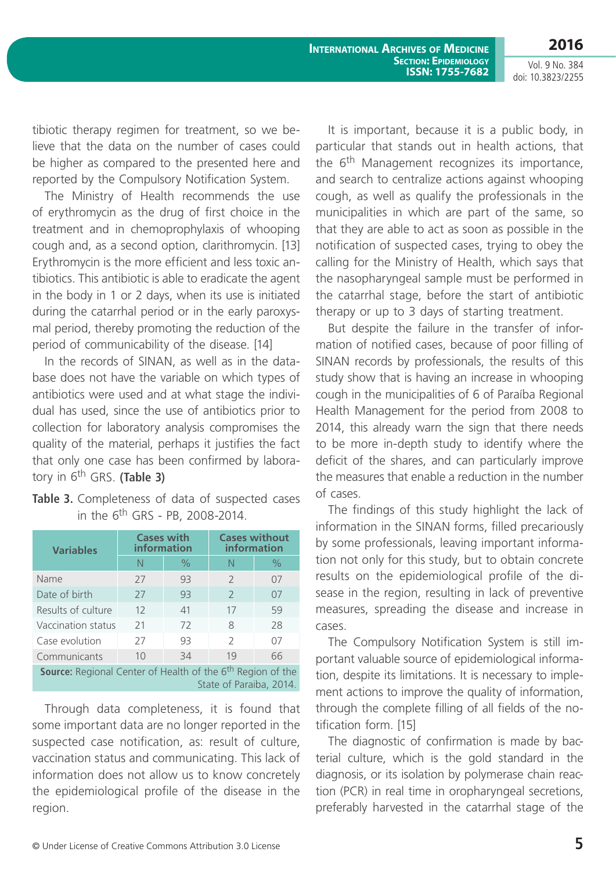tibiotic therapy regimen for treatment, so we believe that the data on the number of cases could be higher as compared to the presented here and reported by the Compulsory Notification System.

The Ministry of Health recommends the use of erythromycin as the drug of first choice in the treatment and in chemoprophylaxis of whooping cough and, as a second option, clarithromycin. [13] Erythromycin is the more efficient and less toxic antibiotics. This antibiotic is able to eradicate the agent in the body in 1 or 2 days, when its use is initiated during the catarrhal period or in the early paroxysmal period, thereby promoting the reduction of the period of communicability of the disease. [14]

In the records of SINAN, as well as in the database does not have the variable on which types of antibiotics were used and at what stage the individual has used, since the use of antibiotics prior to collection for laboratory analysis compromises the quality of the material, perhaps it justifies the fact that only one case has been confirmed by laboratory in 6th GRS. **(Table 3)**

| <b>Variables</b>                                                                                         | <b>Cases with</b><br>information |               | <b>Cases without</b><br>information |      |  |  |
|----------------------------------------------------------------------------------------------------------|----------------------------------|---------------|-------------------------------------|------|--|--|
|                                                                                                          | N                                | $\frac{0}{0}$ | N                                   | $\%$ |  |  |
| Name                                                                                                     | 27                               | 93            | $\mathcal{P}$                       | 07   |  |  |
| Date of birth                                                                                            | 27                               | 93            | $\mathcal{P}$                       | 07   |  |  |
| Results of culture                                                                                       | 12                               | 41            | 17                                  | 59   |  |  |
| Vaccination status                                                                                       | 21                               | 72            | 8                                   | 28   |  |  |
| Case evolution                                                                                           | 27                               | 93            | $\mathcal{P}$                       | 07   |  |  |
| Communicants                                                                                             | 1 <sub>0</sub>                   | 34            | 19                                  | 66   |  |  |
| <b>Source:</b> Regional Center of Health of the 6 <sup>th</sup> Region of the<br>State of Paraiba, 2014. |                                  |               |                                     |      |  |  |

**Table 3.** Completeness of data of suspected cases in the  $6^{th}$  GRS - PB, 2008-2014.

Through data completeness, it is found that some important data are no longer reported in the suspected case notification, as: result of culture, vaccination status and communicating. This lack of information does not allow us to know concretely the epidemiological profile of the disease in the region.

It is important, because it is a public body, in particular that stands out in health actions, that the  $6<sup>th</sup>$  Management recognizes its importance, and search to centralize actions against whooping cough, as well as qualify the professionals in the municipalities in which are part of the same, so that they are able to act as soon as possible in the notification of suspected cases, trying to obey the calling for the Ministry of Health, which says that the nasopharyngeal sample must be performed in the catarrhal stage, before the start of antibiotic therapy or up to 3 days of starting treatment.

But despite the failure in the transfer of information of notified cases, because of poor filling of SINAN records by professionals, the results of this study show that is having an increase in whooping cough in the municipalities of 6 of Paraíba Regional Health Management for the period from 2008 to 2014, this already warn the sign that there needs to be more in-depth study to identify where the deficit of the shares, and can particularly improve the measures that enable a reduction in the number of cases.

The findings of this study highlight the lack of information in the SINAN forms, filled precariously by some professionals, leaving important information not only for this study, but to obtain concrete results on the epidemiological profile of the disease in the region, resulting in lack of preventive measures, spreading the disease and increase in cases.

The Compulsory Notification System is still important valuable source of epidemiological information, despite its limitations. It is necessary to implement actions to improve the quality of information, through the complete filling of all fields of the notification form. [15]

The diagnostic of confirmation is made by bacterial culture, which is the gold standard in the diagnosis, or its isolation by polymerase chain reaction (PCR) in real time in oropharyngeal secretions, preferably harvested in the catarrhal stage of the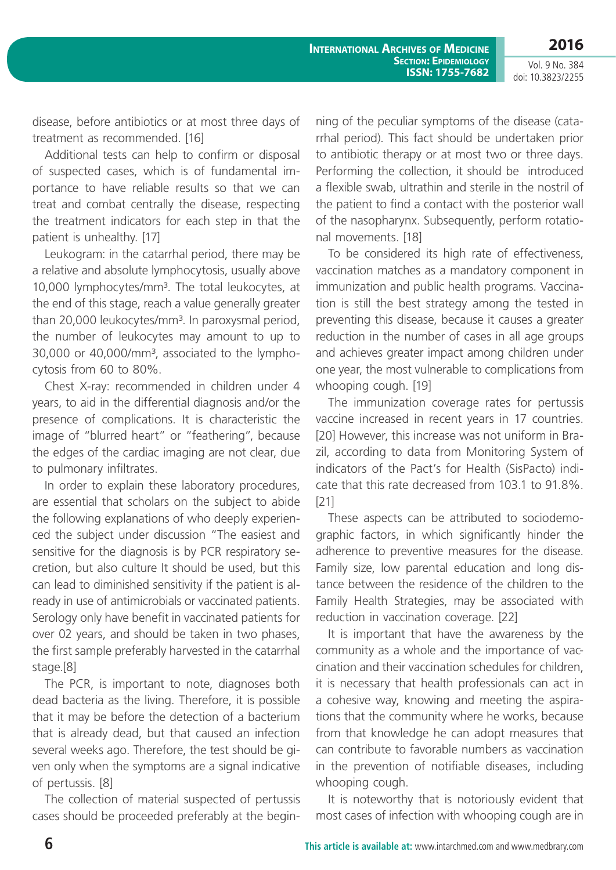**2016**

disease, before antibiotics or at most three days of treatment as recommended. [16]

Additional tests can help to confirm or disposal of suspected cases, which is of fundamental importance to have reliable results so that we can treat and combat centrally the disease, respecting the treatment indicators for each step in that the patient is unhealthy. [17]

Leukogram: in the catarrhal period, there may be a relative and absolute lymphocytosis, usually above 10,000 lymphocytes/mm<sup>3</sup>. The total leukocytes, at the end of this stage, reach a value generally greater than 20,000 leukocytes/mm<sup>3</sup>. In paroxysmal period, the number of leukocytes may amount to up to 30,000 or 40,000/mm<sup>3</sup>, associated to the lymphocytosis from 60 to 80%.

Chest X-ray: recommended in children under 4 years, to aid in the differential diagnosis and/or the presence of complications. It is characteristic the image of "blurred heart" or "feathering", because the edges of the cardiac imaging are not clear, due to pulmonary infiltrates.

In order to explain these laboratory procedures, are essential that scholars on the subject to abide the following explanations of who deeply experienced the subject under discussion "The easiest and sensitive for the diagnosis is by PCR respiratory secretion, but also culture It should be used, but this can lead to diminished sensitivity if the patient is already in use of antimicrobials or vaccinated patients. Serology only have benefit in vaccinated patients for over 02 years, and should be taken in two phases, the first sample preferably harvested in the catarrhal stage.[8]

The PCR, is important to note, diagnoses both dead bacteria as the living. Therefore, it is possible that it may be before the detection of a bacterium that is already dead, but that caused an infection several weeks ago. Therefore, the test should be given only when the symptoms are a signal indicative of pertussis. [8]

The collection of material suspected of pertussis cases should be proceeded preferably at the beginning of the peculiar symptoms of the disease (catarrhal period). This fact should be undertaken prior to antibiotic therapy or at most two or three days. Performing the collection, it should be introduced a flexible swab, ultrathin and sterile in the nostril of the patient to find a contact with the posterior wall of the nasopharynx. Subsequently, perform rotational movements. [18]

To be considered its high rate of effectiveness, vaccination matches as a mandatory component in immunization and public health programs. Vaccination is still the best strategy among the tested in preventing this disease, because it causes a greater reduction in the number of cases in all age groups and achieves greater impact among children under one year, the most vulnerable to complications from whooping cough. [19]

The immunization coverage rates for pertussis vaccine increased in recent years in 17 countries. [20] However, this increase was not uniform in Brazil, according to data from Monitoring System of indicators of the Pact's for Health (SisPacto) indicate that this rate decreased from 103.1 to 91.8%. [21]

These aspects can be attributed to sociodemographic factors, in which significantly hinder the adherence to preventive measures for the disease. Family size, low parental education and long distance between the residence of the children to the Family Health Strategies, may be associated with reduction in vaccination coverage. [22]

It is important that have the awareness by the community as a whole and the importance of vaccination and their vaccination schedules for children, it is necessary that health professionals can act in a cohesive way, knowing and meeting the aspirations that the community where he works, because from that knowledge he can adopt measures that can contribute to favorable numbers as vaccination in the prevention of notifiable diseases, including whooping cough.

It is noteworthy that is notoriously evident that most cases of infection with whooping cough are in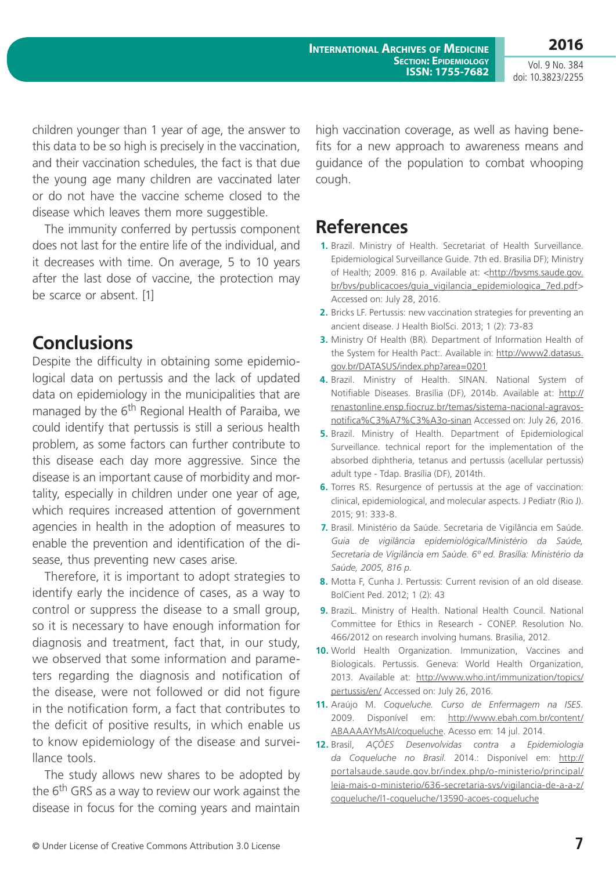Vol. 9 No. 384 doi: 10.3823/2255

children younger than 1 year of age, the answer to this data to be so high is precisely in the vaccination, and their vaccination schedules, the fact is that due the young age many children are vaccinated later or do not have the vaccine scheme closed to the disease which leaves them more suggestible.

The immunity conferred by pertussis component does not last for the entire life of the individual, and it decreases with time. On average, 5 to 10 years after the last dose of vaccine, the protection may be scarce or absent. [1]

#### **Conclusions**

Despite the difficulty in obtaining some epidemiological data on pertussis and the lack of updated data on epidemiology in the municipalities that are managed by the  $6<sup>th</sup>$  Regional Health of Paraiba, we could identify that pertussis is still a serious health problem, as some factors can further contribute to this disease each day more aggressive. Since the disease is an important cause of morbidity and mortality, especially in children under one year of age, which requires increased attention of government agencies in health in the adoption of measures to enable the prevention and identification of the disease, thus preventing new cases arise.

Therefore, it is important to adopt strategies to identify early the incidence of cases, as a way to control or suppress the disease to a small group, so it is necessary to have enough information for diagnosis and treatment, fact that, in our study, we observed that some information and parameters regarding the diagnosis and notification of the disease, were not followed or did not figure in the notification form, a fact that contributes to the deficit of positive results, in which enable us to know epidemiology of the disease and surveillance tools.

The study allows new shares to be adopted by the 6<sup>th</sup> GRS as a way to review our work against the disease in focus for the coming years and maintain high vaccination coverage, as well as having benefits for a new approach to awareness means and guidance of the population to combat whooping cough.

## **References**

- **1.** Brazil. Ministry of Health. Secretariat of Health Surveillance. Epidemiological Surveillance Guide. 7th ed. Brasilia DF); Ministry of Health; 2009. 816 p. Available at: <[http://bvsms.saude.gov.](http://bvsms.saude.gov.br/bvs/publicacoes/guia_vigilancia_epidemiologica_7ed.pdf) [br/bvs/publicacoes/guia\\_vigilancia\\_epidemiologica\\_7ed.pdf>](http://bvsms.saude.gov.br/bvs/publicacoes/guia_vigilancia_epidemiologica_7ed.pdf) Accessed on: July 28, 2016.
- **2.** Bricks LF. Pertussis: new vaccination strategies for preventing an ancient disease. J Health BiolSci. 2013; 1 (2): 73-83
- **3.** Ministry Of Health (BR). Department of Information Health of the System for Health Pact:. Available in: [http://www2.datasus.](http://www2.datasus.gov.br/DATASUS/index.php?area=0201) [gov.br/DATASUS/index.php?area=0201](http://www2.datasus.gov.br/DATASUS/index.php?area=0201)
- **4.** Brazil. Ministry of Health. SINAN. National System of Notifiable Diseases. Brasília (DF), 2014b. Available at: [http://](http://renastonline.ensp.fiocruz.br/temas/sistema-nacional-agravos-notifica%C3%A7%C3%A3o-sinan) [renastonline.ensp.fiocruz.br/temas/sistema-nacional-agravos](http://renastonline.ensp.fiocruz.br/temas/sistema-nacional-agravos-notifica%C3%A7%C3%A3o-sinan)[notifica%C3%A7%C3%A3o-sinan](http://renastonline.ensp.fiocruz.br/temas/sistema-nacional-agravos-notifica%C3%A7%C3%A3o-sinan) Accessed on: July 26, 2016.
- **5.** Brazil. Ministry of Health. Department of Epidemiological Surveillance. technical report for the implementation of the absorbed diphtheria, tetanus and pertussis (acellular pertussis) adult type - Tdap. Brasília (DF), 2014th.
- **6.** Torres RS. Resurgence of pertussis at the age of vaccination: clinical, epidemiological, and molecular aspects. J Pediatr (Rio J). 2015; 91: 333-8.
- **7.** Brasil. Ministério da Saúde. Secretaria de Vigilância em Saúde. *Guia de vigilância epidemiológica/Ministério da Saúde, Secretaria de Vigilância em Saúde. 6º ed. Brasília: Ministério da Saúde, 2005, 816 p.*
- **8.** Motta F, Cunha J. Pertussis: Current revision of an old disease. BolCient Ped. 2012; 1 (2): 43
- **9.** BraziL. Ministry of Health. National Health Council. National Committee for Ethics in Research - CONEP. Resolution No. 466/2012 on research involving humans. Brasilia, 2012.
- **10.** World Health Organization. Immunization, Vaccines and Biologicals. Pertussis. Geneva: World Health Organization, 2013. Available at: [http://www.who.int/immunization/topics/](http://www.who.int/immunization/topics/pertussis/en/) [pertussis/en/](http://www.who.int/immunization/topics/pertussis/en/) Accessed on: July 26, 2016.
- **11.** Araújo M. *Coqueluche. Curso de Enfermagem na ISES.* 2009. Disponível em: [http://www.ebah.com.br/content/](http://www.ebah.com.br/content/ABAAAAYMsAI/coqueluche.) [ABAAAAYMsAI/coqueluche.](http://www.ebah.com.br/content/ABAAAAYMsAI/coqueluche.) Acesso em: 14 jul. 2014.
- **12.** Brasil, *AÇÕES Desenvolvidas contra a Epidemiologia da Coqueluche no Brasil*. 2014.: Disponível em: [http://](http://portalsaude.saude.gov.br/index.php/o-ministerio/principal/leia-mais-o-ministerio/636-secretaria-svs/vigilancia-de-a-a-z/coqueluche/l1-coqueluche/13590-acoes-coqueluche) [portalsaude.saude.gov.br/index.php/o-ministerio/principal/](http://portalsaude.saude.gov.br/index.php/o-ministerio/principal/leia-mais-o-ministerio/636-secretaria-svs/vigilancia-de-a-a-z/coqueluche/l1-coqueluche/13590-acoes-coqueluche) [leia-mais-o-ministerio/636-secretaria-svs/vigilancia-de-a-a-z/](http://portalsaude.saude.gov.br/index.php/o-ministerio/principal/leia-mais-o-ministerio/636-secretaria-svs/vigilancia-de-a-a-z/coqueluche/l1-coqueluche/13590-acoes-coqueluche) [coqueluche/l1-coqueluche/13590-acoes-coqueluche](http://portalsaude.saude.gov.br/index.php/o-ministerio/principal/leia-mais-o-ministerio/636-secretaria-svs/vigilancia-de-a-a-z/coqueluche/l1-coqueluche/13590-acoes-coqueluche)